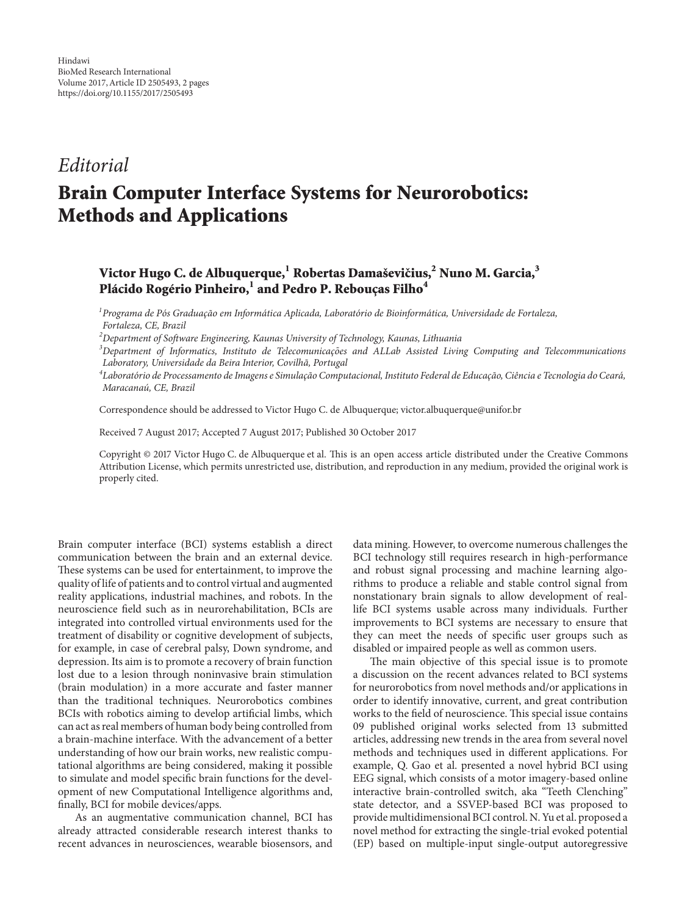## *Editorial*

## **Brain Computer Interface Systems for Neurorobotics: Methods and Applications**

## **Victor Hugo C. de Albuquerque,**<sup>1</sup> Robertas Damaševičius,<sup>2</sup> Nuno M. Garcia,<sup>3</sup> Plácido Rogério Pinheiro,<sup>1</sup> and Pedro P. Rebouças Filho<sup>4</sup>

*1 Programa de Pos Graduac ´ ¸ao em Inform ˜ atica Aplicada, Laborat ´ orio de Bioinform ´ atica, Universidade de Fortaleza, ´ Fortaleza, CE, Brazil*

*2 Department of Software Engineering, Kaunas University of Technology, Kaunas, Lithuania*

*3* Department of Informatics, Instituto de Telecomunicações and ALLab Assisted Living Computing and Telecommunications *Laboratory, Universidade da Beira Interior, Covilha, Portugal ˜*

 $^4$ Laboratório de Processamento de Imagens e Simulação Computacional, Instituto Federal de Educação, Ciência e Tecnologia do Ceará, *Maracanau, CE, Brazil ´*

Correspondence should be addressed to Victor Hugo C. de Albuquerque; victor.albuquerque@unifor.br

Received 7 August 2017; Accepted 7 August 2017; Published 30 October 2017

Copyright © 2017 Victor Hugo C. de Albuquerque et al. This is an open access article distributed under the Creative Commons Attribution License, which permits unrestricted use, distribution, and reproduction in any medium, provided the original work is properly cited.

Brain computer interface (BCI) systems establish a direct communication between the brain and an external device. These systems can be used for entertainment, to improve the quality of life of patients and to control virtual and augmented reality applications, industrial machines, and robots. In the neuroscience field such as in neurorehabilitation, BCIs are integrated into controlled virtual environments used for the treatment of disability or cognitive development of subjects, for example, in case of cerebral palsy, Down syndrome, and depression. Its aim is to promote a recovery of brain function lost due to a lesion through noninvasive brain stimulation (brain modulation) in a more accurate and faster manner than the traditional techniques. Neurorobotics combines BCIs with robotics aiming to develop artificial limbs, which can act as real members of human body being controlled from a brain-machine interface. With the advancement of a better understanding of how our brain works, new realistic computational algorithms are being considered, making it possible to simulate and model specific brain functions for the development of new Computational Intelligence algorithms and, finally, BCI for mobile devices/apps.

As an augmentative communication channel, BCI has already attracted considerable research interest thanks to recent advances in neurosciences, wearable biosensors, and data mining. However, to overcome numerous challenges the BCI technology still requires research in high-performance and robust signal processing and machine learning algorithms to produce a reliable and stable control signal from nonstationary brain signals to allow development of reallife BCI systems usable across many individuals. Further improvements to BCI systems are necessary to ensure that they can meet the needs of specific user groups such as disabled or impaired people as well as common users.

The main objective of this special issue is to promote a discussion on the recent advances related to BCI systems for neurorobotics from novel methods and/or applications in order to identify innovative, current, and great contribution works to the field of neuroscience. This special issue contains 09 published original works selected from 13 submitted articles, addressing new trends in the area from several novel methods and techniques used in different applications. For example, Q. Gao et al. presented a novel hybrid BCI using EEG signal, which consists of a motor imagery-based online interactive brain-controlled switch, aka "Teeth Clenching" state detector, and a SSVEP-based BCI was proposed to provide multidimensional BCI control. N. Yu et al. proposed a novel method for extracting the single-trial evoked potential (EP) based on multiple-input single-output autoregressive